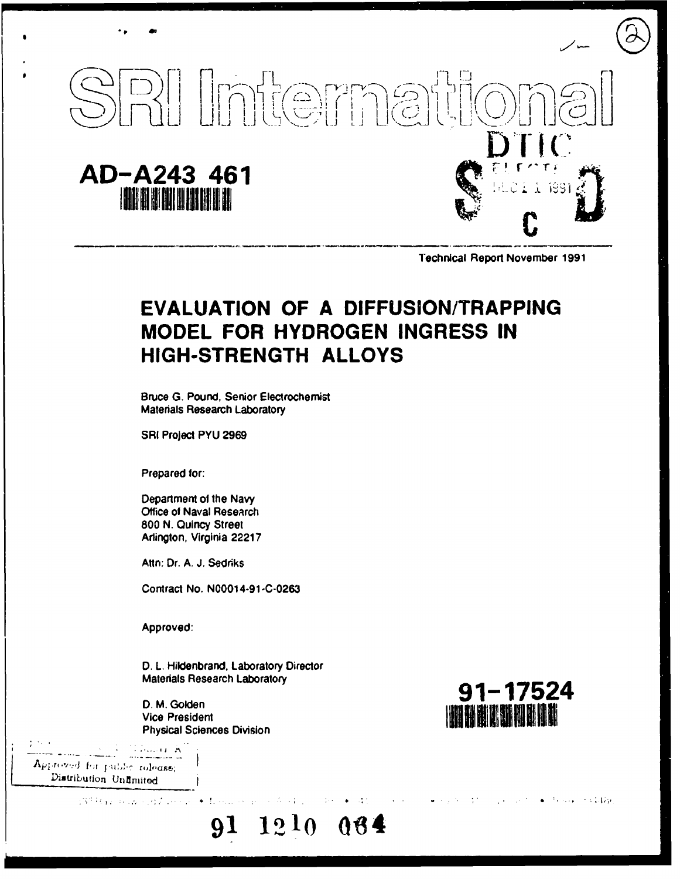

**Technical Report November 1991** 

## **EVALUATION OF A DIFFUSION/TRAPPING** MODEL FOR HYDROGEN INGRESS IN **HIGH-STRENGTH ALLOYS**

**Bruce G. Pound, Senior Electrochemist Materials Research Laboratory** 

SRI Project PYU 2969

Prepared for:

Department of the Navy Office of Naval Research 800 N. Quincy Street Arlington, Virginia 22217

Attn: Dr. A. J. Sedriks

Contract No. N00014-91-C-0263

Approved:

D. L. Hildenbrand, Laboratory Director Materials Research Laboratory

91

1210

 $06$ 

D. M. Golden **Vice President Physical Sciences Division** 

71 Juliet A Approved for public rolease; Distribution Unlimited

> 137 Randon Robert Story Education and the



 $\bullet$  . The same of  $\mathcal{A}(\mathcal{U})$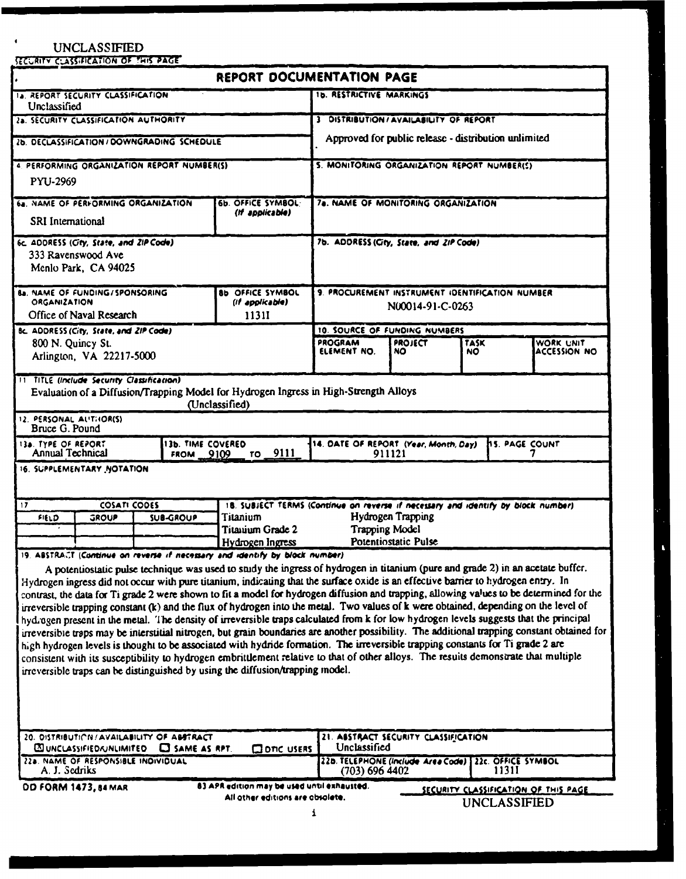## **UNCLASSIFIED**

SiCuRITV CLASS.FICAs **ION** OF **?'W'4S PAGE**

|                                                                                                                                                                                                                                                                                                                                                                                                                                                                                                                                                                                                                                                                                                                                                                                                                                                                                                                                                                                                                                                                                                                                                                                                                                                                                                   | REPORT DOCUMENTATION PAGE                                                                                                     |                                                                     |                      |                     |                                      |
|---------------------------------------------------------------------------------------------------------------------------------------------------------------------------------------------------------------------------------------------------------------------------------------------------------------------------------------------------------------------------------------------------------------------------------------------------------------------------------------------------------------------------------------------------------------------------------------------------------------------------------------------------------------------------------------------------------------------------------------------------------------------------------------------------------------------------------------------------------------------------------------------------------------------------------------------------------------------------------------------------------------------------------------------------------------------------------------------------------------------------------------------------------------------------------------------------------------------------------------------------------------------------------------------------|-------------------------------------------------------------------------------------------------------------------------------|---------------------------------------------------------------------|----------------------|---------------------|--------------------------------------|
| <b>IA. REPORT SECURITY CLASSIFICATION</b><br>Unclassified                                                                                                                                                                                                                                                                                                                                                                                                                                                                                                                                                                                                                                                                                                                                                                                                                                                                                                                                                                                                                                                                                                                                                                                                                                         |                                                                                                                               | <b>1b. RESTRICTIVE MARKINGS</b>                                     |                      |                     |                                      |
| 28. SECURITY CLASSIFICATION AUTHORITY                                                                                                                                                                                                                                                                                                                                                                                                                                                                                                                                                                                                                                                                                                                                                                                                                                                                                                                                                                                                                                                                                                                                                                                                                                                             |                                                                                                                               | 3 DISTRIBUTION/AVAILABILITY OF REPORT                               |                      |                     |                                      |
| 26. DECLASSIFICATION / DOWNGRADING SCHEDULE                                                                                                                                                                                                                                                                                                                                                                                                                                                                                                                                                                                                                                                                                                                                                                                                                                                                                                                                                                                                                                                                                                                                                                                                                                                       |                                                                                                                               | Approved for public release - distribution unlimited                |                      |                     |                                      |
| 4. PERFORMING ORGANIZATION REPORT NUMBER(S)                                                                                                                                                                                                                                                                                                                                                                                                                                                                                                                                                                                                                                                                                                                                                                                                                                                                                                                                                                                                                                                                                                                                                                                                                                                       |                                                                                                                               | 5. MONITORING ORGANIZATION REPORT NUMBER(S)                         |                      |                     |                                      |
| PYU-2969                                                                                                                                                                                                                                                                                                                                                                                                                                                                                                                                                                                                                                                                                                                                                                                                                                                                                                                                                                                                                                                                                                                                                                                                                                                                                          |                                                                                                                               |                                                                     |                      |                     |                                      |
| 6b. OFFICE SYMBOL-<br>64. NAME OF PERFORMING ORGANIZATION<br>(If applicable)<br>SRI International                                                                                                                                                                                                                                                                                                                                                                                                                                                                                                                                                                                                                                                                                                                                                                                                                                                                                                                                                                                                                                                                                                                                                                                                 |                                                                                                                               | 7a. NAME OF MONITORING ORGANIZATION                                 |                      |                     |                                      |
| 6c. ADDRESS (City, State, and ZIP Code)<br>333 Ravenswood Ave<br>Menlo Park, CA 94025                                                                                                                                                                                                                                                                                                                                                                                                                                                                                                                                                                                                                                                                                                                                                                                                                                                                                                                                                                                                                                                                                                                                                                                                             |                                                                                                                               | 7b. ADDRESS (City, State, and ZIP Code)                             |                      |                     |                                      |
| <b>8b OFFICE SYMBOL</b><br><b>8a. NAME OF FUNDING/SPONSORING</b><br><b>ORGANIZATION</b><br>(if applicable)<br>Office of Naval Research<br><b>1131I</b>                                                                                                                                                                                                                                                                                                                                                                                                                                                                                                                                                                                                                                                                                                                                                                                                                                                                                                                                                                                                                                                                                                                                            |                                                                                                                               | 9. PROCUREMENT INSTRUMENT IDENTIFICATION NUMBER<br>N00014-91-C-0263 |                      |                     |                                      |
| Bc. ADDRESS (City, State, and ZIP Code)                                                                                                                                                                                                                                                                                                                                                                                                                                                                                                                                                                                                                                                                                                                                                                                                                                                                                                                                                                                                                                                                                                                                                                                                                                                           |                                                                                                                               | 10. SOURCE OF FUNDING NUMBERS                                       |                      |                     |                                      |
| 800 N. Quincy St.<br>Arlington, VA 22217-5000                                                                                                                                                                                                                                                                                                                                                                                                                                                                                                                                                                                                                                                                                                                                                                                                                                                                                                                                                                                                                                                                                                                                                                                                                                                     |                                                                                                                               | PROGRAM<br>ELEMENT NO.                                              | <b>PROJECT</b><br>NO | TASK<br>NO.         | WORK UNIT<br>ACCESSION NO            |
| <b>TT TITLE (include Security Classification)</b><br>Evaluation of a Diffusion/Trapping Model for Hydrogen Ingress in High-Strength Alloys<br>12. PERSONAL ALITHOR(S)                                                                                                                                                                                                                                                                                                                                                                                                                                                                                                                                                                                                                                                                                                                                                                                                                                                                                                                                                                                                                                                                                                                             | (Unclassified)                                                                                                                |                                                                     |                      |                     |                                      |
| Bruce G. Pound                                                                                                                                                                                                                                                                                                                                                                                                                                                                                                                                                                                                                                                                                                                                                                                                                                                                                                                                                                                                                                                                                                                                                                                                                                                                                    |                                                                                                                               |                                                                     |                      |                     |                                      |
| 13a. TYPE OF REPORT<br>Annual Technical<br><b>FROM</b>                                                                                                                                                                                                                                                                                                                                                                                                                                                                                                                                                                                                                                                                                                                                                                                                                                                                                                                                                                                                                                                                                                                                                                                                                                            | <b>13b. TIME COVERED</b><br>14. DATE OF REPORT (Year, Month, Day)<br>hs. PAGE COUNT<br>9111<br>911121<br>9109<br>TO <b>TO</b> |                                                                     |                      |                     |                                      |
| 16. SUPPLEMENTARY NOTATION                                                                                                                                                                                                                                                                                                                                                                                                                                                                                                                                                                                                                                                                                                                                                                                                                                                                                                                                                                                                                                                                                                                                                                                                                                                                        |                                                                                                                               |                                                                     |                      |                     |                                      |
| <b>COSATI CODES</b><br>17                                                                                                                                                                                                                                                                                                                                                                                                                                                                                                                                                                                                                                                                                                                                                                                                                                                                                                                                                                                                                                                                                                                                                                                                                                                                         | 18. SUBJECT TERMS (Continue on reverse if necessary and identify by block number)                                             |                                                                     |                      |                     |                                      |
| <b>Titanium</b><br><b>SUB-GROUP</b><br>FIELD<br><b>GROUP</b><br>Titauium Grade 2                                                                                                                                                                                                                                                                                                                                                                                                                                                                                                                                                                                                                                                                                                                                                                                                                                                                                                                                                                                                                                                                                                                                                                                                                  |                                                                                                                               | Hydrogen Trapping<br><b>Trapping Model</b>                          |                      |                     |                                      |
|                                                                                                                                                                                                                                                                                                                                                                                                                                                                                                                                                                                                                                                                                                                                                                                                                                                                                                                                                                                                                                                                                                                                                                                                                                                                                                   | Hydrogen Ingress                                                                                                              | Potentiostatic Pulse                                                |                      |                     |                                      |
| 19. ABSTRACT (Continue on reverse if necessary and identify by block number)<br>A potentiostatic pulse technique was used to study the ingress of hydrogen in titanium (pure and grade 2) in an acetate buffer.<br>Hydrogen ingress did not occur with pure titanium, indicating that the surface oxide is an effective barrier to hydrogen entry. In<br>contrast, the data for Ti grade 2 were shown to fit a model for hydrogen diffusion and trapping, allowing values to be determined for the<br>irreversible trapping constant (k) and the flux of hydrogen into the metal. Two values of k were obtained, depending on the level of<br>hydrogen present in the metal. The density of irreversible traps calculated from k for low hydrogen levels suggests that the principal<br>irreversible traps may be interstitial nitrogen, but grain boundaries are another possibility. The additional trapping constant obtained for<br>high hydrogen levels is thought to be associated with hydride formation. The irreversible trapping constants for Ti grade 2 are<br>consistent with its susceptibility to hydrogen embrittlement relative to that of other alloys. The results demonstrate that multiple<br>irreversible traps can be distinguished by using the diffusion/trapping model. |                                                                                                                               |                                                                     |                      |                     |                                      |
| 20. DISTRIBUTION/AVAILABILITY OF ABSTRACT<br><b>ES UNCLASSIFIED AUNUMITED</b><br><b>ET SAME AS RPT.</b>                                                                                                                                                                                                                                                                                                                                                                                                                                                                                                                                                                                                                                                                                                                                                                                                                                                                                                                                                                                                                                                                                                                                                                                           | <b>QONC USERS</b>                                                                                                             | 21. ABSTRACT SECURITY CLASSIFICATION<br>Unclassified                |                      |                     |                                      |
| 228. NAME OF RESPONSIBLE INDIVIDUAL<br>A. J. Sedriks                                                                                                                                                                                                                                                                                                                                                                                                                                                                                                                                                                                                                                                                                                                                                                                                                                                                                                                                                                                                                                                                                                                                                                                                                                              |                                                                                                                               | 22b. TELEPHONE (Include Area Code)<br>$(703)$ 696 4402              |                      | 11311               | 22c. OFFICE SYMBOL                   |
| <b>DD FORM 1473, 84 MAR</b>                                                                                                                                                                                                                                                                                                                                                                                                                                                                                                                                                                                                                                                                                                                                                                                                                                                                                                                                                                                                                                                                                                                                                                                                                                                                       | 83 APR edition may be used until exhausted.<br>All other editions are obsolete.                                               |                                                                     |                      |                     | SECURITY CLASSIFICATION OF THIS PAGE |
|                                                                                                                                                                                                                                                                                                                                                                                                                                                                                                                                                                                                                                                                                                                                                                                                                                                                                                                                                                                                                                                                                                                                                                                                                                                                                                   | 1                                                                                                                             |                                                                     |                      | <b>UNCLASSIFIED</b> |                                      |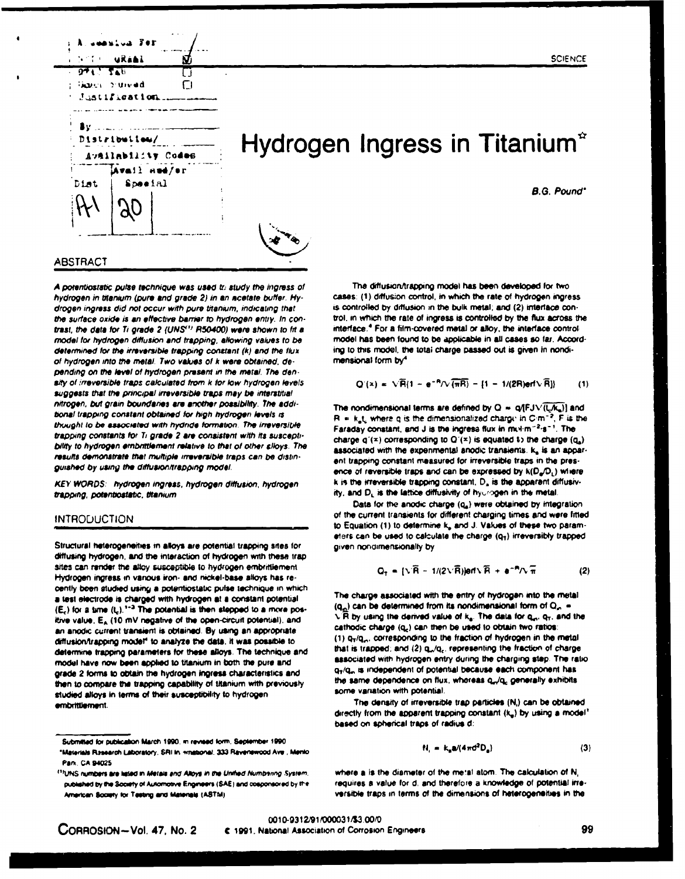

# Hydrogen Ingress in Titanium<sup>\*</sup>

**B.G. Pound**\*

**SCIENCE** 



#### **ABSTRACT**

A potentiostatic pulse technique was used to study the ingress of hydrogen in titanium (pure and grade 2) in an acetate buffer. Hydrogen ingress did not occur with pure titenium, indicating that the surface oxide is an effective barrier to hydrogen entry. In contrast, the data for Ti grade 2 (UNS<sup>1)</sup> R50400) were shown to fit a model for hydrogen diffusion and trapping, allowing values to be determined for the irreversible trapping constant (k) and the flux of hydrogen into the metal. Two values of k were obtained, depending on the level of hydrogen present in the metal. The density of irreversible traps calculated from k for low hydrogen levels suggests that the principal irreversible traps may be interstitial nitrogen, but grain boundaries are another possibility. The additional trapping constant obtained for high hydrogen levels is thought to be associated with hydride formation. The irreversible trapping constants for Ti grade 2 are consistent with its susceptibility to hydrogen embrittlement relative to that of other slloys. The results demonstrate that multiple irreversible traps can be distinguished by using the diffusion/trapping model.

KEY WORDS: hydrogen ingress, hydrogen diffusion, hydrogen trapping, potentiostatic, titanium

#### **INTRODUCTION**

Structural heterogeneities in alloys are potential trapping sites for diffusing hydrogen, and the interaction of hydrogen with these trap sites can render the alloy susceptible to hydrogen embrittlement. Hydrogen ingress in various iron- and nickel-base alloys has recently been atudied using a potentiostatic pulse technique in which a test electrode is charged with hydrogen at a constant potential  $(E_c)$  for a time  $(t_c)$ .<sup>1-3</sup> The potential is then stepped to a more positive value, E<sub>A</sub> (10 mV negative of the open-circuit potential), and an anodic current transient is obtained. By using an appropriate diffusion/trapping model<sup>4</sup> to analyze the data, it was possible to determine trapping parameters for these alloys. The technique and model have now been applied to titanium in both the pure and grade 2 forms to obtain the hydrogen ingress characteristics and then to compare the trapping capability of titanium with previously studied alloys in terms of their susceptibility to hydrogen. embrittlement.

The diffusion/trapping model has been developed for two cases: (1) diffusion control, in which the rate of hydrogen ingress is controlled by diffusion in the bulk metal; and (2) interface control, in which the rate of ingress is controlled by the flux across the interface.<sup>4</sup> For a film-covered metal or alloy, the interface controlmodel has been found to be applicable in all cases so far. According to this model, the total charge passed out is given in nondimensional form by<sup>4</sup>

$$
Q'(x) = \sqrt{P}(1 - e^{-P}/\sqrt{\pi R}) - [1 - 1/(2R)e^{-1}/R]
$$
 (1)

The nondimensional terms are defined by  $Q = q(FJ\sqrt{\langle LK_n \rangle})$  and  $R = k_n t_n$ , where q is the dimensionalized charge in C-m<sup>-2</sup>, F is the Faraday constant, and J is the ingress flux in mul-m<sup>-2-</sup>s<sup>-1</sup>. The charge  $q'(x)$  corresponding to  $Q'(x)$  is equated to the charge  $(q_a)$ associated with the experimental anodic transiems. k, is an apparent trapping constant measured for irreversible traps in the presence of reversible traps and can be expressed by  $k(D_a/D_i)$  where k is the irreversible trapping constant, D<sub>a</sub> is the apparent diffusivity, and D<sub>L</sub> is the lattice diffusivity of hydrogen in the metal

Data for the anodic charge (q2) were obtained by integration of the current transients for different charging times and were fitted to Equation (1) to determine k, and J. Values of these two parameters can be used to calculate the charge  $(q<sub>1</sub>)$  irreversibly trapped given nondimensionally by

$$
Q_T = \{\sqrt{R} - 1/(2\sqrt{R})\} \text{erf} \sqrt{R} + \text{erf} \sqrt{\pi}
$$
 (2)

The charge associated with the entry of hydrogen into the metal  $(q_n)$  can be determined from its nondimensional form of  $Q_n =$  $\sqrt{R}$  by using the derived value of  $k_a$ . The data for  $q_a, q_T$ , and the cathodic charge (q<sub>c</sub>) can then be used to obtain two ratios: (1) Q<sub>T</sub>/Q<sub>n</sub>, corresponding to the fraction of hydrogen in the metal that is trapped; and (2) q<sub>n</sub>/q<sub>c</sub>, representing the fraction of charge associated with hydrogen entry during the charging step. The ratio q<sub>7</sub>/q<sub>n</sub> is independent of potential because each component has the same dependence on flux, whereas q<sub>r</sub>/q<sub>c</sub> generally exhibits some variation with potential.

The density of irreversible trap particles (N,) can be obtained directly from the apparent trapping constant (ke) by using a model? based on spherical traps of radius d:

٠

$$
I_{\rm c} = k_{\rm a} \mathbf{a} / (4 \pi \mathbf{d}^2 \mathbf{D}_{\rm a}) \tag{3}
$$

where a is the diameter of the metal atom. The calculation of N, requires a value for d, and therefore a knowledge of potential irreversible traps in terms of the dimensions of heterogenaities in the

Submitted for publication March 1990, in revised form, September 1990 "Materials Rizsearch Laboratory, SRI In: wristional, 333 Ravenswood Ave., Mento **Park, CA 94025** 

<sup>&</sup>lt;sup>(1)</sup>UNS numbers are listed in Metals and Alloys in the Unified Numbering System. published by the Society of Automotive Engineers (SAE) and cosponsored by the American Society for Testing and Materials (ASTM)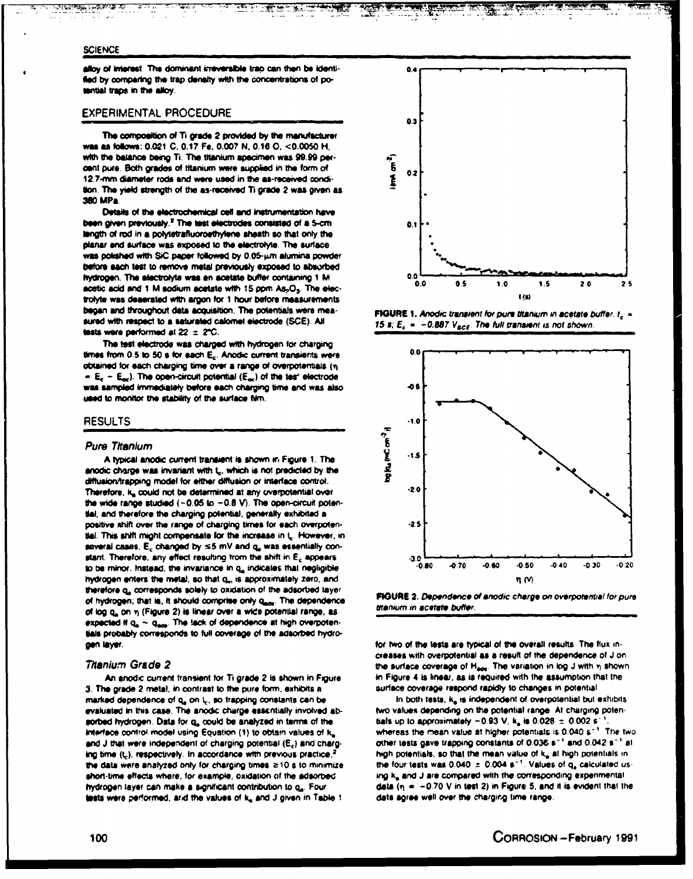#### **SCIENCE**

alloy of interest. The dominant irreversible trap can then be identified by comparing the trap density with the concentrations of potential traps in the alloy.

#### **EXPERIMENTAL PROCEDURE**

The composition of Ti grade 2 provided by the manufacturer was as follows: 0.021 C, 0.17 Fe, 0.007 N, 0.16 O, <0.0050 H, with the balance being Ti. The titanium specimen was 99.99 percent pure. Both grades of titanium were supplied in the form of 12.7-mm diameter rods and were used in the as-received condition. The yield strength of the as-received Ti grade 2 was given as 380 MPa

Details of the electrochemical cell and instrumentation have been given previously.<sup>2</sup> The test electrodes consisted of a 5-cm langth of rod in a polytetrafluoroethylene sheath so that only the planar end surface was exposed to the electrolyte. The surface was polished with SiC paper followed by 0.05-um alumina powder before each test to remove metal previously exposed to absorbed hydrogen. The electrolyte was an acetate buffer containing 1 M acetic acid and 1 M sodium acetate with 15 ppm As<sub>2</sub>O<sub>3</sub>. The electrolyte was deaerated with argon for 1 hour before measurements began and throughout data acquisition. The potentials were measured with respect to a saturated calomel electrode (SCE). All tests were performed at  $22 \pm 2^{\circ}$ C.

The test electrode was charged with hydrogen for charging times from 0.5 to 50 s for each E<sub>c</sub>. Anodic current transierits were obtained for each charging time over a range of overpotentials (n) =  $E_c - E_{\text{ext}}$ ). The open-circuit potential ( $E_{\text{ext}}$ ) of the tes' electrode was sampled immediately before each charging time and was also used to monitor the stability of the surface film.

#### **RESULTS**

#### **Pure Titanium**

A typical anodic current transient is shown in Figure 1. The anodic charge was invariant with t., which is not predicted by the diffusion/trapping model for either diffusion or interface control. Therefore, k, could not be determined at any overpotential over the wide range studied  $(-0.05$  to  $-0.8$  V). The open-circuit potential, and therefore the charging potential, generally exhibited a positive shift over the range of charging times for each overpotensal. This shift might compensate for the increase in L. However, in several cases, E<sub>c</sub> changed by ≤5 mV and q<sub>a</sub> was essentially constant. Therefore, any effect resulting from the shift in E<sub>c</sub> appears to be minor. Instead, the invariance in q\_ indicates that negligible hydrogen enters the metal, so that q., is approximately zero, and therefore q<sub>a</sub> corresponds solely to oxidation of the adsorbed layer of hydrogen; that is, it should comprise only qsos. The dependence of log q, on n (Figure 2) is linear over a wide potential range, as expected if  $q_a \sim q_{\text{max}}$ . The lack of dependence at high overpotentials probably corresponds to full coverage of the adsorbed hydrogen laver.

#### Thanium Grade 2

An anodic current transient for Ti grade 2 is shown in Figure 3. The grade 2 metal, in contrast to the pure form, exhibits a marked dependence of q, on L, so trapping constants can be evaluated in this case. The anodic charge essentially involved absorbed hydrogen. Data for q<sub>e</sub> could be analyzed in terms of the interface control model using Equation (1) to obtain values of k. and J that were independent of charging potential (E<sub>c</sub>) and charging time (L), respectively. In accordance with previous practice is the data were analyzed only for charging times  $\geq 10$  s to minimize short-time effects where, for example, oxidation of the adsorbed hydrogen layer can make a significant contribution to q. Four tests were performed, and the values of ka and J given in Table 1



**FIGURE 1. Anodic transient for pure titanium in acetate buffer.**  $t_c =$ 15 s;  $E_c = -0.887 V_{\text{SCE}}$ . The full transient is not shown.





for two of the tests are typical of the overall results. The flux increases with overpotential as a result of the dependence of J on the surface coverage of  $H_{\text{max}}$ . The variation in log J with  $\eta$  shown in Figure 4 is linear, as is required with the assumption that the surface coverage respond rapidly to changes in potential

In both tests, ke is independent of overpotential but exhibits two values depending on the potential range. At charging potentials up to approximately  $-0.93$  V, k<sub>a</sub> is  $0.028 \pm 0.002$  s whereas the mean value at higher potentials is 0.040 s<sup>-1</sup>. The two other tests gave trapping constants of 0.036 s<sup>-1</sup> and 0.042 s<sup>-1</sup> at high potentials, so that the mean value of ka at high potentials in the four tests was 0.040  $\pm$  0.004 s<sup>-1</sup>. Values of  $q_a$  calculated using k<sub>e</sub> and J are compared with the corresponding experimental data  $(n = -0.70$  V in test 2) in Figure 5, and it is evident that the data agree well over the charging time range.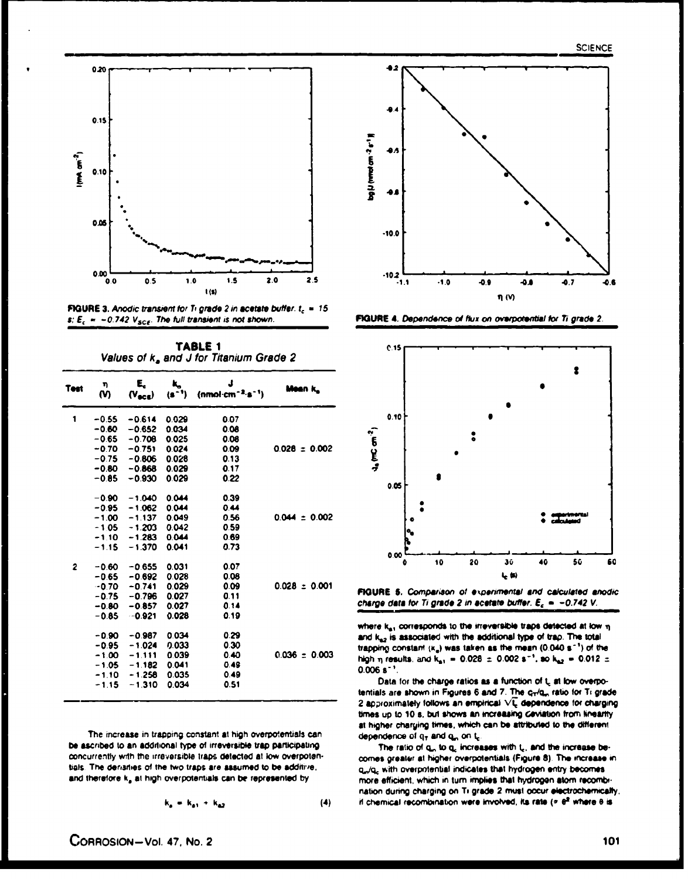

**FIGURE 3.** Anodic transient for Ti grade 2 in acetate buffer.  $t_c = 15$ s;  $E_c = -0.742$  V<sub>sce</sub>. The full transient is not shown.

TABLE 1 Values of k<sub>a</sub> and J for Titanium Grade 2

| Test | η.<br>M | E.<br>$(V_{\text{acc}})$ | (s * *) | J<br>$(nmol·cm-2.s-1)$ | Mean k.           |
|------|---------|--------------------------|---------|------------------------|-------------------|
| 1    | $-0.55$ | $-0.614$                 | 0.029   | 0.07                   |                   |
|      | $-0.60$ | $-0.652$                 | 0.034   | 0.08                   |                   |
|      |         | $-0.65 - 0.708$          | 0.025   | 0.08                   |                   |
|      |         | $-0.70 - 0.751$          | 0.024   | 0.09                   | $0.028 \pm 0.002$ |
|      |         | $-0.75 - 0.806$          | 0.028   | 0.13                   |                   |
|      |         | $-0.80 - 0.868$          | 0.029   | 0.17                   |                   |
|      | $-0.85$ | $-0.930$                 | 0.029   | 0.22                   |                   |
|      | -0.90   | $-1.040$                 | 0.044   | 0.39                   |                   |
|      |         | $-0.95 - 1.062$          | 0.044   | 0.44                   |                   |
|      |         | $-1.00 - 1.137$          | 0.049   | 0.56                   | $0.044 \pm 0.002$ |
|      |         | $-1.05 - 1.203$          | 0.042   | 0.59                   |                   |
|      |         | $-1.10 - 1.283$          | 0.044   | 0.69                   |                   |
|      | $-1.15$ | $-1.370$                 | 0.041   | 0.73                   |                   |
| 2    | $-0.60$ | $-0.655$                 | 0.031   | 0.07                   |                   |
|      |         | $-0.65 - 0.692$          | 0.028   | 0.08                   |                   |
|      |         | $-0.70 - 0.741$          | 0.029   | 0.09                   | $0.028 \pm 0.001$ |
|      |         | $-0.75 - 0.796$          | 0.027   | 0.11                   |                   |
|      |         | $-0.80 - 0.857$          | 0.027   | 0.14                   |                   |
|      | $-0.85$ | $-0.921$                 | 0.028   | 0.19                   |                   |
|      | -0.90   | $-0.987$                 | 0.034   | 0.29                   |                   |
|      | -0.95   | $-1.024$                 | 0.033   | 0.30                   |                   |
|      |         | $-1.00 - 1.111$          | 0.039   | 0.40                   | $0.036 = 0.003$   |
|      |         | $-1.05 - 1.182$          | 0.041   | 0.49                   |                   |
|      | $-1.10$ | $-1.258$                 | 0.035   | 0.49                   |                   |
|      | $-1.15$ | $-1.310$                 | 0.034   | 0.51                   |                   |

The increase in trapping constant at high overpotentials can be ascribed to an additional type of irreversible trap participating concurrently with the irreversible traps detected at low overpotentials. The derisities of the two traps are assumed to be additive, and therefore k<sub>a</sub> at high overpotentials can be represented by

$$
k_a = k_a_1 + k_{a2} \tag{4}
$$



FIGURE 4. Dependence of flux on overpotential for Ti grade 2.



FIGURE 5. Comparison of experimental and calculated anodic charge data for Ti grade 2 in acetate buffer.  $\mathbf{E}_c = -0.742$  V.

where  $k_{n1}$  corresponds to the irreversible traps detected at low  $\eta$ and kez is associated with the additional type of trap. The total trapping constant  $(\kappa_a)$  was taken as the mean (0.040 s<sup>-1</sup>) of the high  $\eta$  results, and  $k_{\text{B1}} = 0.028 \pm 0.002$  s<sup>-1</sup>, so  $k_{\text{B2}} = 0.012 \pm 0.012$  $0.006 s^{-1}$ 

Data for the charge ratios as a function of L at low overpotentials are shown in Figures 6 and 7. The cride, ratio for Ti grade 2 approximately follows an empirical  $\sqrt{t}$  dependence for charging times up to 10 s, but shows an increasing ceviation from linearity at higher charging times, which can be attributed to the different dependence of  $q_T$  and  $q_m$  on  $t_c$ .

The ratio of q., to q. increases with t., and the increase becomes greater at higher overpotentials (Figure 8). The increase in q./q. with overpriential indicates that hydrogen entry becomes more efficient, which in turn implies that hydrogen atom recombination during charging on Ti grade 2 must occur electrochemically, if chemical recombination were involved, its rate ( $\sigma$   $\theta^2$  where  $\theta$  is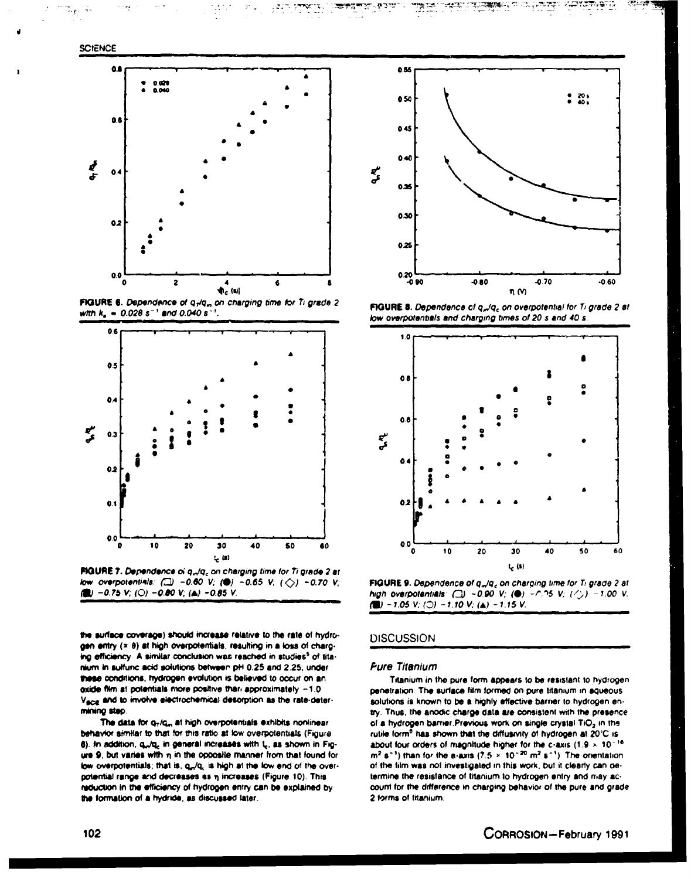

Ξŗ



a start i St

FIGURE 6. Dependence of q-/q., on charging time for Ti grade 2 with  $k_a = 0.028 s^{-1}$  and 0.040 s<sup>-1</sup>



FIGURE 7. Dependence of q<sub>m</sub>/q<sub>c</sub> on charging time for Ti grade 2 at low overpotentials: ( $\Box$ ) -0.60 V; ( $\bigcirc$ ) -0.65 V; ( $\bigcirc$ ) -0.70 V; (a) -0.75 V; (O) -0.80 V; (a) -0.85 V.

the surface coverage) should increase relative to the rate of hydrogen entry (x 8) at high overpotentials, resulting in a loss of charging efficiency. A similar conclusion was reached in studies<sup>5</sup> of titanium in aulturic acid solutions between pH 0.25 and 2.25; under these conditions, hydrogen evolution is believed to occur on an oxide film at potentials more positive than approximately -1.0 Vace and to involve electrochemical desorption as the rate-determining step.

The data for q-/q., at high overpotentials exhibits nonlinear behavior similar to that for this ratio at low overpotentials (Figure 6). In addition, q.,/q. in general increases with L. as shown in Figure 9, but varies with n in the opposite manner from that found for low overpotentials; that is, qr/q, is high at the low end of the overpotential range and decreases as n increases (Figure 10). This reduction in the efficiency of hydrogen entry can be explained by the formation of a hydride, as discussed later.



**RANGER** 

diry

444.

FIGURE 8. Dependence of q<sub>ri</sub>/q<sub>c</sub> on overpotential for Ti grade 2 at low overpotentials and charging times of 20 s and 40 s.



FIGURE 9. Dependence of q<sub>n</sub>/q<sub>c</sub> on charging time for Ti grade 2 at high overpotentials:  $(2) -0.90$  V; (0)  $-0.95$  V; (2)  $-1.00$  V. (a)  $-1.05$  V; (c)  $-1.10$  V; (a)  $-1.15$  V.

### **DISCUSSION**

#### **Fure Titanium**

Titanium in the pure form appears to be resistant to hydrogen penetration. The surface film formed on pure titanium in aqueous. solutions is known to be a highly effective barrier to hydrogen entry. Thus, the anodic charge data are consistent with the presence of a hydrogen barrier.Previous work on single crystal TiO2 in the rutile form<sup>e</sup> has shown that the diffusivity of hydrogen at 20°C is about four orders of magnitude higher for the c-axis (1.9  $\times$  10<sup>-16</sup>  $m<sup>2</sup> s<sup>-1</sup>$ ) than for the a-axis (7.5  $\times$  10<sup>-20</sup> m<sup>2</sup> s<sup>-1</sup>). The orientation of the film was not investigated in this work, but it clearly can determine the resistance of titanium to hydrogen entry and may account for the difference in charging behavior of the pure and grade 2 forms of titanium.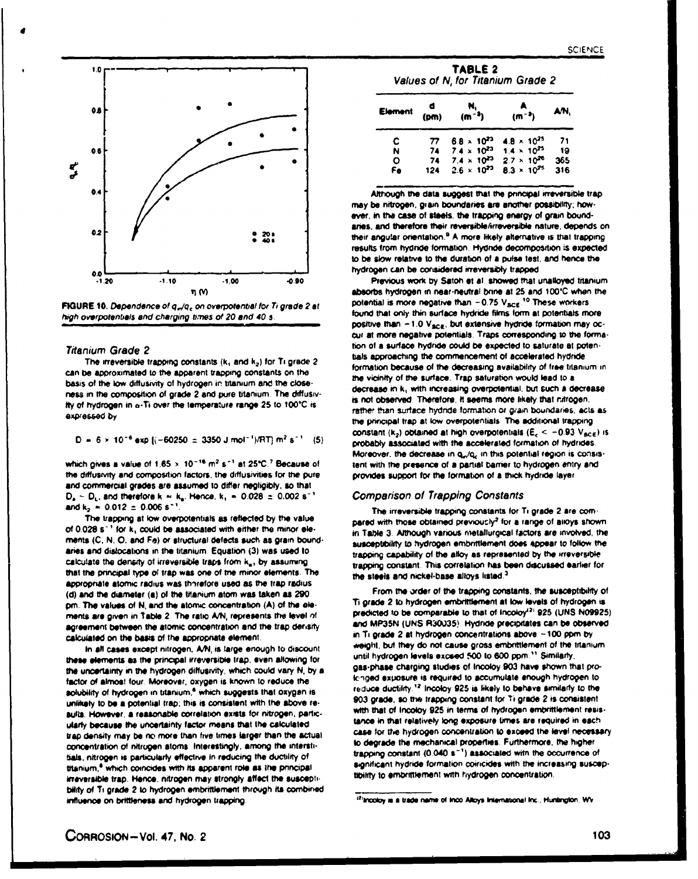



#### **Titanium Grade 2**

The irreversible trapping constants (k, and  $k_2$ ) for Ti grade 2 can be approximated to the apparent trapping constants on the basis of the low diffusivity of hydrogen in titanium and the closeness in the composition of grade 2 and pure titanium. The diffusivity of hydrogen in a-Ti over the temperature range 25 to 100°C is expressed by

$$
D = 6 \times 10^{-6} \text{ exp } [(-60250 \pm 3350 \text{ J mol}^{-1})/\text{RT}] \text{ m}^2 \text{ s}^{-1}
$$
 (5)

which gives a value of  $1.65 \times 10^{-16}$  m<sup>2</sup> s<sup>-1</sup> at 25°C.<sup>7</sup> Because of the diffusivity and composition factors, the diffusivities for the pure and commercial grades are assumed to differ negligibly, so that  $D_a \simeq D_L$ , and therefore k = k<sub>a</sub>. Hence, k<sub>1</sub> = 0.028 ± 0.002 s<sup>-1</sup> and  $k_2 = 0.012 \pm 0.006 s^{-1}$ 

The trapping at low overpotentials as reflected by the value of 0.028 s<sup>-1</sup> for k, could be associated with either the minor elements (C, N, O, and Fe) or structural defects such as grain boundaries and dislocations in the titanium. Equation (3) was used to calculate the density of irreversible traps from k<sub>a</sub>, by assuming that the principal type of trap was one of the minor elements. The appropriate atomic radius was thorefore used as the trap radius. (d) and the diameter (a) of the titanium atom was taken as 290. pm. The values of N, and the atomic concentration (A) of the elements are given in Table 2. The ratio A/N, represents the level of agreement between the atomic concentration and the trap derisity calculated on the basis of the appropriate element.

In all cases except nitrogen, A/N, is large enough to discount these elements as the principal irreversible trap, even allowing for the uncertainty in the hydrogen diffusivity, which could vary N, by a factor of almost four. Moreover, oxygen is known to reduce the solubility of hydrogen in titanium,<sup>4</sup> which suggests that oxygen is unlikely to be a potential trap; this is consistent with the above results. However, a reasonable correlation exists for nitrogen, particularly because the uncertainty factor means that the calculated trap density may be no more than five times larger than the actual concentration of nitrugen atoms. Interestingly, among the interstitials, nitrogen is particularly effective in reducing the ductility of titanium.<sup>4</sup> which coincides with its apparent role as the principal irreversible trap. Hence, nitrogen may strongly affect the susceptibility of Ti grade 2 to hydrogen embrittlement through its combined influence on brittleness and hydrogen trapping.

| TABLE 2                           |  |  |  |  |
|-----------------------------------|--|--|--|--|
| Values of N, for Titanium Grade 2 |  |  |  |  |

| <b>Element</b> | (pm) | N.<br>$(m^{-3})$     | $(m^{-3})$           | AN, |  |
|----------------|------|----------------------|----------------------|-----|--|
| с              | 77   | $6.8 \times 10^{22}$ | $4.8 \times 10^{25}$ | 71  |  |
| N              | 74   | $7.4 \times 10^{23}$ | $1.4 \times 10^{25}$ | -19 |  |
| Ο              | 74   | $7.4 \times 10^{23}$ | $2.7 \times 10^{26}$ | 365 |  |
| Fe             | 124  | $2.6 \times 10^{23}$ | $8.3 \times 10^{25}$ | 316 |  |

Although the data suggest that the principal irreversible trap may be nitrogen, grain boundaries are another possibility; however, in the case of steels, the trapping energy of grain boundaries, and therefore their reversible/irreversible nature, depends on their angular orientation.<sup>9</sup> A more likely alternative is that trapping results from hydride formation. Hydride decomposition is expected to be slow relative to the duration of a pulse test, and hence the hydrogen can be considered irreversibly trapped

Previous work by Satoh et al. showed that unalloyed titanium absorbs hydrogen in near-neutral brine at 25 and 100°C when the potential is more negative than  $-0.75$  V $_{\text{BCE}}$ .<sup>10</sup> These workers found that only thin surface hydride films form at potentials more positive than  $-1.0$  V<sub>scg</sub>, but extensive hydride formation may occui at more negative potentials. Traps corresponding to the formation of a surface hydride could be expected to saturate at potentials approaching the commencement of accelerated hydride formation because of the decreasing availability of free titanium in the vicinity of the surface. Trap saturation would lead to a decrease in k, with increasing overpotential, but such a decrease is not observed. Therefore, it seems more likely that nitrogen. rather than surface hydride formation or grain boundaries, acts as the principal trap at low overpotentials. The additional trapping constant (k2) obtained at high overpotentials ( $E_c < -0.93$  V<sub>scE</sub>) is probably associated with the accelerated formation of hydrides. Moreover, the decrease in q<sub>u</sub>/q<sub>c</sub> in this potential region is consistent with the presence of a partial barrier to hydrogen entry and provides support for the formation of a thick hydride layer

#### **Comparison of Trapping Constants**

The irreversible trapping constants for Ti grade 2 are compared with those obtained previously<sup>2</sup> for a range of alloys shown in Table 3. Although various metallurgical factors are involved, the susceptibility to hydrogen embrittlement does appear to follow the trapping capability of the alloy as represented by the irreversible trapping constant. This correlation has been discussed earlier for the steels and nickel-base alloys listed.<sup>3</sup>

From the order of the trapping constants, the susceptibility of Ti grade 2 to hydrogen embrittlement at low levels of hydrogen is predicted to be comparable to that of Incoloy<sup>12)</sup> 925 (UNS N09925). and MP35N (UNS R30035). Hydride precipitates can be observed in Ti grade 2 at hydrogen concentrations above ~100 ppm by weight, but they do not cause gross embrittlement of the titanium. until hydrogen levels exceed 500 to 600 ppm." Similarly, gas-phase charging studies of Incoloy 903 have shown that prolenged exposure is required to accumulate enough hydrogen to reduce ductility.<sup>12</sup> Incoloy 925 is likely to behave similarly to the 903 grade, so the trapping constant for Ti grade 2 is consistent. with that of Incoloy 925 in terms of hydrogen embrittlement resistance in that relatively long exposure times are required in each case for the hydrogen concentration to exceed the level necessary to degrade the mechanical properties. Furthermore, the higher trapping constant (0.040 s<sup>-1</sup>) associated with the occurrence of significant hydride formation coiricides with the increasing susceptibility to embrittlement with hydrogen concentration.

<sup>&</sup>lt;sup>12</sup>Incoloy is a trade name of inco Alloys International Inc., Huntington, WV